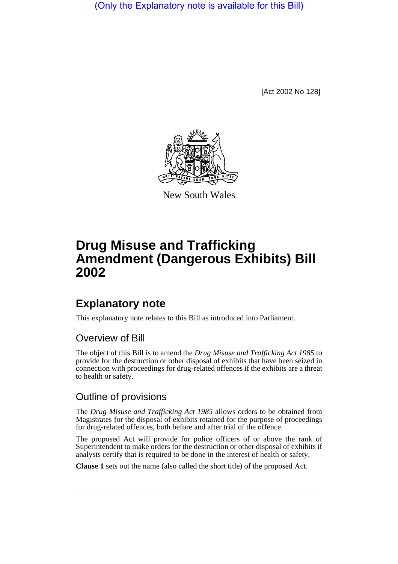(Only the Explanatory note is available for this Bill)

[Act 2002 No 128]



New South Wales

# **Drug Misuse and Trafficking Amendment (Dangerous Exhibits) Bill 2002**

## **Explanatory note**

This explanatory note relates to this Bill as introduced into Parliament.

### Overview of Bill

The object of this Bill is to amend the *Drug Misuse and Trafficking Act 1985* to provide for the destruction or other disposal of exhibits that have been seized in connection with proceedings for drug-related offences if the exhibits are a threat to health or safety.

### Outline of provisions

The *Drug Misuse and Trafficking Act 1985* allows orders to be obtained from Magistrates for the disposal of exhibits retained for the purpose of proceedings for drug-related offences, both before and after trial of the offence.

The proposed Act will provide for police officers of or above the rank of Superintendent to make orders for the destruction or other disposal of exhibits if analysts certify that is required to be done in the interest of health or safety.

**Clause 1** sets out the name (also called the short title) of the proposed Act.